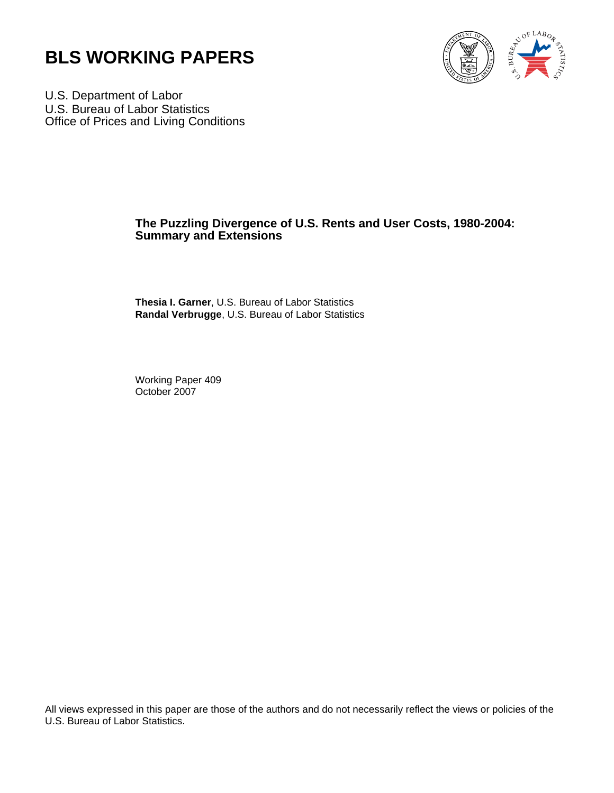



U.S. Department of Labor U.S. Bureau of Labor Statistics Office of Prices and Living Conditions

# **The Puzzling Divergence of U.S. Rents and User Costs, 1980-2004: Summary and Extensions**

**Thesia I. Garner**, U.S. Bureau of Labor Statistics **Randal Verbrugge**, U.S. Bureau of Labor Statistics

Working Paper 409 October 2007

All views expressed in this paper are those of the authors and do not necessarily reflect the views or policies of the U.S. Bureau of Labor Statistics.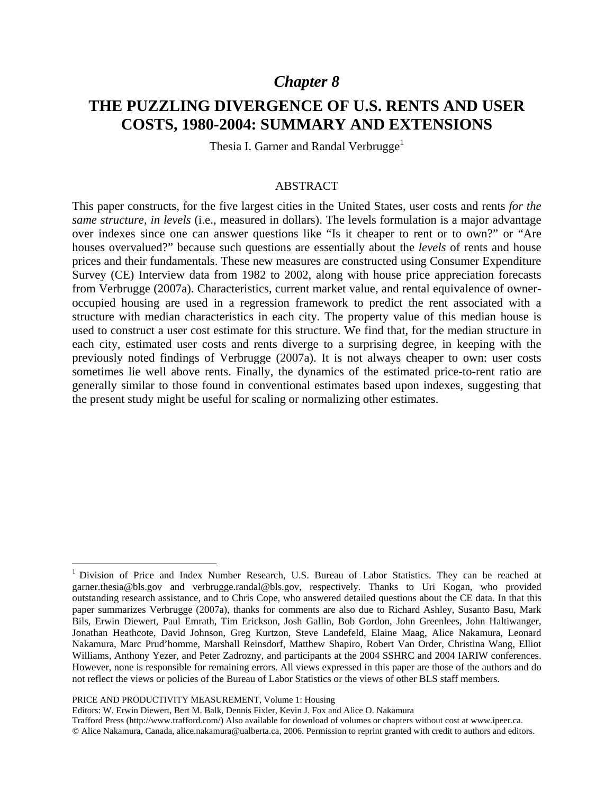# *Chapter 8*

# **THE PUZZLING DIVERGENCE OF U.S. RENTS AND USER COSTS, 1980-2004: SUMMARY AND EXTENSIONS**

Thesia I. Garner and Randal Verbrugge<sup>1</sup>

### ABSTRACT

This paper constructs, for the five largest cities in the United States, user costs and rents *for the same structure, in levels* (i.e., measured in dollars). The levels formulation is a major advantage over indexes since one can answer questions like "Is it cheaper to rent or to own?" or "Are houses overvalued?" because such questions are essentially about the *levels* of rents and house prices and their fundamentals. These new measures are constructed using Consumer Expenditure Survey (CE) Interview data from 1982 to 2002, along with house price appreciation forecasts from Verbrugge (2007a). Characteristics, current market value, and rental equivalence of owneroccupied housing are used in a regression framework to predict the rent associated with a structure with median characteristics in each city. The property value of this median house is used to construct a user cost estimate for this structure. We find that, for the median structure in each city, estimated user costs and rents diverge to a surprising degree, in keeping with the previously noted findings of Verbrugge (2007a). It is not always cheaper to own: user costs sometimes lie well above rents. Finally, the dynamics of the estimated price-to-rent ratio are generally similar to those found in conventional estimates based upon indexes, suggesting that the present study might be useful for scaling or normalizing other estimates.

PRICE AND PRODUCTIVITY MEASUREMENT, Volume 1: Housing

 $\overline{a}$ 

Editors: W. Erwin Diewert, Bert M. Balk, Dennis Fixler, Kevin J. Fox and Alice O. Nakamura

<sup>1</sup> Division of Price and Index Number Research, U.S. Bureau of Labor Statistics. They can be reached at garner.thesia@bls.gov and verbrugge.randal@bls.gov, respectively. Thanks to Uri Kogan, who provided outstanding research assistance, and to Chris Cope, who answered detailed questions about the CE data. In that this paper summarizes Verbrugge (2007a), thanks for comments are also due to Richard Ashley, Susanto Basu, Mark Bils, Erwin Diewert, Paul Emrath, Tim Erickson, Josh Gallin, Bob Gordon, John Greenlees, John Haltiwanger, Jonathan Heathcote, David Johnson, Greg Kurtzon, Steve Landefeld, Elaine Maag, Alice Nakamura, Leonard Nakamura, Marc Prud'homme, Marshall Reinsdorf, Matthew Shapiro, Robert Van Order, Christina Wang, Elliot Williams, Anthony Yezer, and Peter Zadrozny, and participants at the 2004 SSHRC and 2004 IARIW conferences. However, none is responsible for remaining errors. All views expressed in this paper are those of the authors and do not reflect the views or policies of the Bureau of Labor Statistics or the views of other BLS staff members.

Trafford Press (http://www.trafford.com/) Also available for download of volumes or chapters without cost at www.ipeer.ca. © Alice Nakamura, Canada, alice.nakamura@ualberta.ca, 2006. Permission to reprint granted with credit to authors and editors.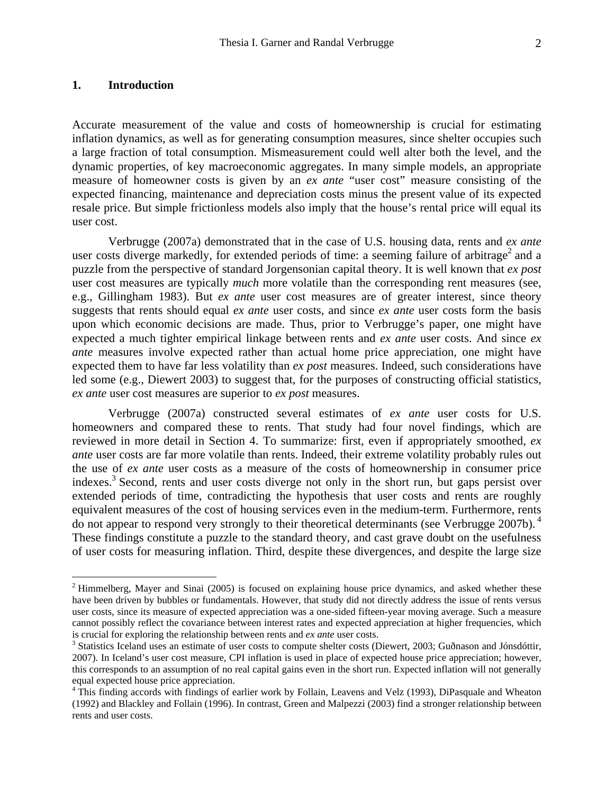#### **1. Introduction**

1

Accurate measurement of the value and costs of homeownership is crucial for estimating inflation dynamics, as well as for generating consumption measures, since shelter occupies such a large fraction of total consumption. Mismeasurement could well alter both the level, and the dynamic properties, of key macroeconomic aggregates. In many simple models, an appropriate measure of homeowner costs is given by an *ex ante* "user cost" measure consisting of the expected financing, maintenance and depreciation costs minus the present value of its expected resale price. But simple frictionless models also imply that the house's rental price will equal its user cost.

 Verbrugge (2007a) demonstrated that in the case of U.S. housing data, rents and *ex ante* user costs diverge markedly, for extended periods of time: a seeming failure of arbitrage<sup>2</sup> and a puzzle from the perspective of standard Jorgensonian capital theory. It is well known that *ex post* user cost measures are typically *much* more volatile than the corresponding rent measures (see, e.g., Gillingham 1983). But *ex ante* user cost measures are of greater interest, since theory suggests that rents should equal *ex ante* user costs, and since *ex ante* user costs form the basis upon which economic decisions are made. Thus, prior to Verbrugge's paper, one might have expected a much tighter empirical linkage between rents and *ex ante* user costs. And since *ex ante* measures involve expected rather than actual home price appreciation, one might have expected them to have far less volatility than *ex post* measures. Indeed, such considerations have led some (e.g., Diewert 2003) to suggest that, for the purposes of constructing official statistics, *ex ante* user cost measures are superior to *ex post* measures.

Verbrugge (2007a) constructed several estimates of *ex ante* user costs for U.S. homeowners and compared these to rents. That study had four novel findings, which are reviewed in more detail in Section 4. To summarize: first, even if appropriately smoothed, *ex ante* user costs are far more volatile than rents. Indeed, their extreme volatility probably rules out the use of *ex ante* user costs as a measure of the costs of homeownership in consumer price indexes.<sup>3</sup> Second, rents and user costs diverge not only in the short run, but gaps persist over extended periods of time, contradicting the hypothesis that user costs and rents are roughly equivalent measures of the cost of housing services even in the medium-term. Furthermore, rents do not appear to respond very strongly to their theoretical determinants (see Verbrugge 2007b).<sup>4</sup> These findings constitute a puzzle to the standard theory, and cast grave doubt on the usefulness of user costs for measuring inflation. Third, despite these divergences, and despite the large size

 $2$ <sup>2</sup> Himmelberg, Mayer and Sinai (2005) is focused on explaining house price dynamics, and asked whether these have been driven by bubbles or fundamentals. However, that study did not directly address the issue of rents versus user costs, since its measure of expected appreciation was a one-sided fifteen-year moving average. Such a measure cannot possibly reflect the covariance between interest rates and expected appreciation at higher frequencies, which is crucial for exploring the relationship between rents and *ex ante* user costs.

<sup>&</sup>lt;sup>3</sup> Statistics Iceland uses an estimate of user costs to compute shelter costs (Diewert, 2003; Guðnason and Jónsdóttir, 2007). In Iceland's user cost measure, CPI inflation is used in place of expected house price appreciation; however, this corresponds to an assumption of no real capital gains even in the short run. Expected inflation will not generally equal expected house price appreciation.

<sup>&</sup>lt;sup>4</sup> This finding accords with findings of earlier work by Follain, Leavens and Velz (1993), DiPasquale and Wheaton (1992) and Blackley and Follain (1996). In contrast, Green and Malpezzi (2003) find a stronger relationship between rents and user costs.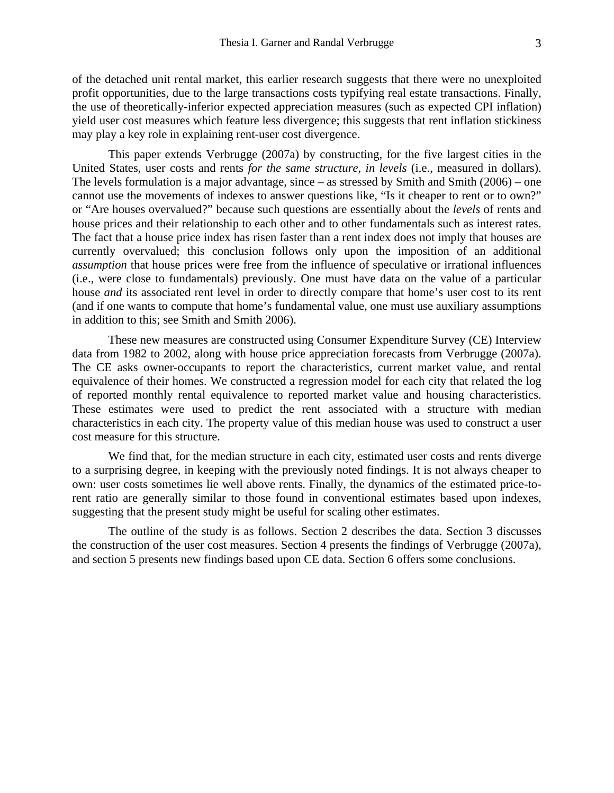of the detached unit rental market, this earlier research suggests that there were no unexploited profit opportunities, due to the large transactions costs typifying real estate transactions. Finally, the use of theoretically-inferior expected appreciation measures (such as expected CPI inflation) yield user cost measures which feature less divergence; this suggests that rent inflation stickiness may play a key role in explaining rent-user cost divergence.

 This paper extends Verbrugge (2007a) by constructing, for the five largest cities in the United States, user costs and rents *for the same structure, in levels* (i.e., measured in dollars). The levels formulation is a major advantage, since – as stressed by Smith and Smith (2006) – one cannot use the movements of indexes to answer questions like, "Is it cheaper to rent or to own?" or "Are houses overvalued?" because such questions are essentially about the *levels* of rents and house prices and their relationship to each other and to other fundamentals such as interest rates. The fact that a house price index has risen faster than a rent index does not imply that houses are currently overvalued; this conclusion follows only upon the imposition of an additional *assumption* that house prices were free from the influence of speculative or irrational influences (i.e., were close to fundamentals) previously. One must have data on the value of a particular house *and* its associated rent level in order to directly compare that home's user cost to its rent (and if one wants to compute that home's fundamental value, one must use auxiliary assumptions in addition to this; see Smith and Smith 2006).

 These new measures are constructed using Consumer Expenditure Survey (CE) Interview data from 1982 to 2002, along with house price appreciation forecasts from Verbrugge (2007a). The CE asks owner-occupants to report the characteristics, current market value, and rental equivalence of their homes. We constructed a regression model for each city that related the log of reported monthly rental equivalence to reported market value and housing characteristics. These estimates were used to predict the rent associated with a structure with median characteristics in each city. The property value of this median house was used to construct a user cost measure for this structure.

 We find that, for the median structure in each city, estimated user costs and rents diverge to a surprising degree, in keeping with the previously noted findings. It is not always cheaper to own: user costs sometimes lie well above rents. Finally, the dynamics of the estimated price-torent ratio are generally similar to those found in conventional estimates based upon indexes, suggesting that the present study might be useful for scaling other estimates.

 The outline of the study is as follows. Section 2 describes the data. Section 3 discusses the construction of the user cost measures. Section 4 presents the findings of Verbrugge (2007a), and section 5 presents new findings based upon CE data. Section 6 offers some conclusions.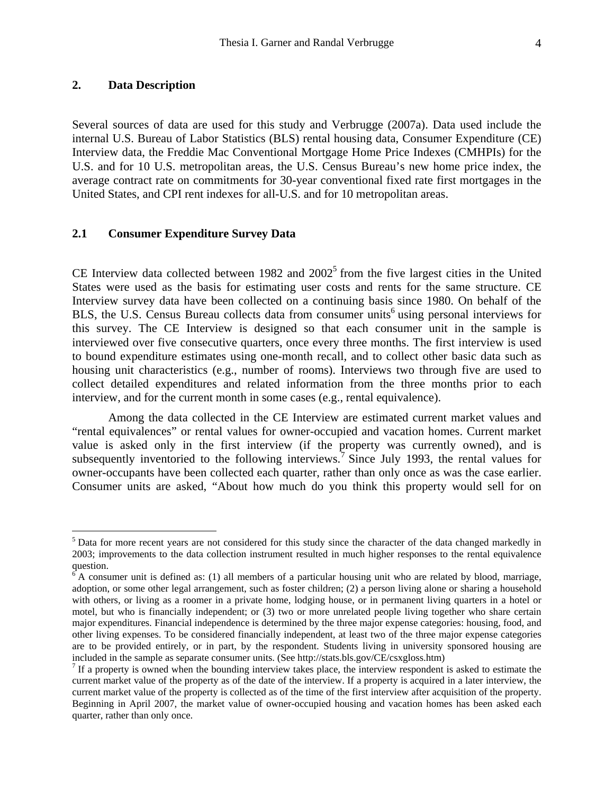#### **2. Data Description**

1

Several sources of data are used for this study and Verbrugge (2007a). Data used include the internal U.S. Bureau of Labor Statistics (BLS) rental housing data, Consumer Expenditure (CE) Interview data, the Freddie Mac Conventional Mortgage Home Price Indexes (CMHPIs) for the U.S. and for 10 U.S. metropolitan areas, the U.S. Census Bureau's new home price index, the average contract rate on commitments for 30-year conventional fixed rate first mortgages in the United States, and CPI rent indexes for all-U.S. and for 10 metropolitan areas.

# **2.1 Consumer Expenditure Survey Data**

CE Interview data collected between  $1982$  and  $2002<sup>5</sup>$  from the five largest cities in the United States were used as the basis for estimating user costs and rents for the same structure. CE Interview survey data have been collected on a continuing basis since 1980. On behalf of the BLS, the U.S. Census Bureau collects data from consumer units<sup>6</sup> using personal interviews for this survey. The CE Interview is designed so that each consumer unit in the sample is interviewed over five consecutive quarters, once every three months. The first interview is used to bound expenditure estimates using one-month recall, and to collect other basic data such as housing unit characteristics (e.g., number of rooms). Interviews two through five are used to collect detailed expenditures and related information from the three months prior to each interview, and for the current month in some cases (e.g., rental equivalence).

 Among the data collected in the CE Interview are estimated current market values and "rental equivalences" or rental values for owner-occupied and vacation homes. Current market value is asked only in the first interview (if the property was currently owned), and is subsequently inventoried to the following interviews.<sup>7</sup> Since July 1993, the rental values for owner-occupants have been collected each quarter, rather than only once as was the case earlier. Consumer units are asked, "About how much do you think this property would sell for on

<sup>&</sup>lt;sup>5</sup> Data for more recent years are not considered for this study since the character of the data changed markedly in 2003; improvements to the data collection instrument resulted in much higher responses to the rental equivalence question.<br><sup>6</sup> A consumer unit is defined as: (1) all members of a particular housing unit who are related by blood, marriage,

adoption, or some other legal arrangement, such as foster children; (2) a person living alone or sharing a household with others, or living as a roomer in a private home, lodging house, or in permanent living quarters in a hotel or motel, but who is financially independent; or (3) two or more unrelated people living together who share certain major expenditures. Financial independence is determined by the three major expense categories: housing, food, and other living expenses. To be considered financially independent, at least two of the three major expense categories are to be provided entirely, or in part, by the respondent. Students living in university sponsored housing are included in the sample as separate consumer units. (See http://stats.bls.gov/CE/csxgloss.htm) 7

If a property is owned when the bounding interview takes place, the interview respondent is asked to estimate the current market value of the property as of the date of the interview. If a property is acquired in a later interview, the current market value of the property is collected as of the time of the first interview after acquisition of the property. Beginning in April 2007, the market value of owner-occupied housing and vacation homes has been asked each quarter, rather than only once.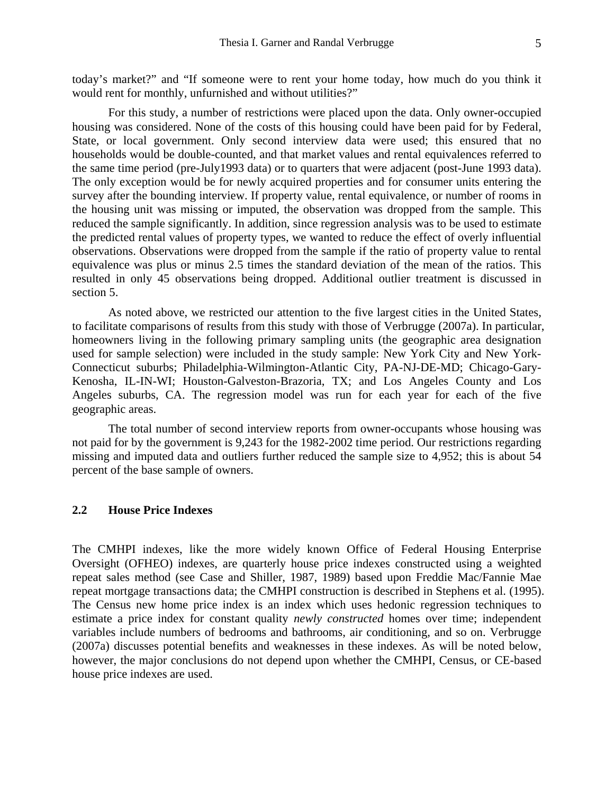today's market?" and "If someone were to rent your home today, how much do you think it would rent for monthly, unfurnished and without utilities?"

 For this study, a number of restrictions were placed upon the data. Only owner-occupied housing was considered. None of the costs of this housing could have been paid for by Federal, State, or local government. Only second interview data were used; this ensured that no households would be double-counted, and that market values and rental equivalences referred to the same time period (pre-July1993 data) or to quarters that were adjacent (post-June 1993 data). The only exception would be for newly acquired properties and for consumer units entering the survey after the bounding interview. If property value, rental equivalence, or number of rooms in the housing unit was missing or imputed, the observation was dropped from the sample. This reduced the sample significantly. In addition, since regression analysis was to be used to estimate the predicted rental values of property types, we wanted to reduce the effect of overly influential observations. Observations were dropped from the sample if the ratio of property value to rental equivalence was plus or minus 2.5 times the standard deviation of the mean of the ratios. This resulted in only 45 observations being dropped. Additional outlier treatment is discussed in section 5.

 As noted above, we restricted our attention to the five largest cities in the United States, to facilitate comparisons of results from this study with those of Verbrugge (2007a). In particular, homeowners living in the following primary sampling units (the geographic area designation used for sample selection) were included in the study sample: New York City and New York-Connecticut suburbs; Philadelphia-Wilmington-Atlantic City, PA-NJ-DE-MD; Chicago-Gary-Kenosha, IL-IN-WI; Houston-Galveston-Brazoria, TX; and Los Angeles County and Los Angeles suburbs, CA. The regression model was run for each year for each of the five geographic areas.

 The total number of second interview reports from owner-occupants whose housing was not paid for by the government is 9,243 for the 1982-2002 time period. Our restrictions regarding missing and imputed data and outliers further reduced the sample size to 4,952; this is about 54 percent of the base sample of owners.

#### **2.2 House Price Indexes**

The CMHPI indexes, like the more widely known Office of Federal Housing Enterprise Oversight (OFHEO) indexes, are quarterly house price indexes constructed using a weighted repeat sales method (see Case and Shiller, 1987, 1989) based upon Freddie Mac/Fannie Mae repeat mortgage transactions data; the CMHPI construction is described in Stephens et al. (1995). The Census new home price index is an index which uses hedonic regression techniques to estimate a price index for constant quality *newly constructed* homes over time; independent variables include numbers of bedrooms and bathrooms, air conditioning, and so on. Verbrugge (2007a) discusses potential benefits and weaknesses in these indexes. As will be noted below, however, the major conclusions do not depend upon whether the CMHPI, Census, or CE-based house price indexes are used.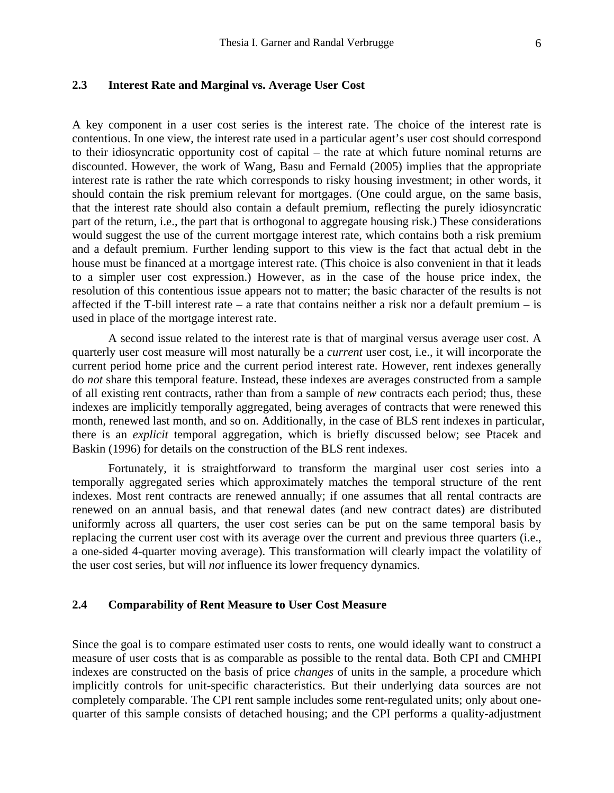#### **2.3 Interest Rate and Marginal vs. Average User Cost**

A key component in a user cost series is the interest rate. The choice of the interest rate is contentious. In one view, the interest rate used in a particular agent's user cost should correspond to their idiosyncratic opportunity cost of capital – the rate at which future nominal returns are discounted. However, the work of Wang, Basu and Fernald (2005) implies that the appropriate interest rate is rather the rate which corresponds to risky housing investment; in other words, it should contain the risk premium relevant for mortgages. (One could argue, on the same basis, that the interest rate should also contain a default premium, reflecting the purely idiosyncratic part of the return, i.e., the part that is orthogonal to aggregate housing risk.) These considerations would suggest the use of the current mortgage interest rate, which contains both a risk premium and a default premium. Further lending support to this view is the fact that actual debt in the house must be financed at a mortgage interest rate. (This choice is also convenient in that it leads to a simpler user cost expression.) However, as in the case of the house price index, the resolution of this contentious issue appears not to matter; the basic character of the results is not affected if the T-bill interest rate – a rate that contains neither a risk nor a default premium – is used in place of the mortgage interest rate.

 A second issue related to the interest rate is that of marginal versus average user cost. A quarterly user cost measure will most naturally be a *current* user cost, i.e., it will incorporate the current period home price and the current period interest rate. However, rent indexes generally do *not* share this temporal feature. Instead, these indexes are averages constructed from a sample of all existing rent contracts, rather than from a sample of *new* contracts each period; thus, these indexes are implicitly temporally aggregated, being averages of contracts that were renewed this month, renewed last month, and so on. Additionally, in the case of BLS rent indexes in particular, there is an *explicit* temporal aggregation, which is briefly discussed below; see Ptacek and Baskin (1996) for details on the construction of the BLS rent indexes.

 Fortunately, it is straightforward to transform the marginal user cost series into a temporally aggregated series which approximately matches the temporal structure of the rent indexes. Most rent contracts are renewed annually; if one assumes that all rental contracts are renewed on an annual basis, and that renewal dates (and new contract dates) are distributed uniformly across all quarters, the user cost series can be put on the same temporal basis by replacing the current user cost with its average over the current and previous three quarters (i.e., a one-sided 4-quarter moving average). This transformation will clearly impact the volatility of the user cost series, but will *not* influence its lower frequency dynamics.

#### **2.4 Comparability of Rent Measure to User Cost Measure**

Since the goal is to compare estimated user costs to rents, one would ideally want to construct a measure of user costs that is as comparable as possible to the rental data. Both CPI and CMHPI indexes are constructed on the basis of price *changes* of units in the sample, a procedure which implicitly controls for unit-specific characteristics. But their underlying data sources are not completely comparable. The CPI rent sample includes some rent-regulated units; only about onequarter of this sample consists of detached housing; and the CPI performs a quality-adjustment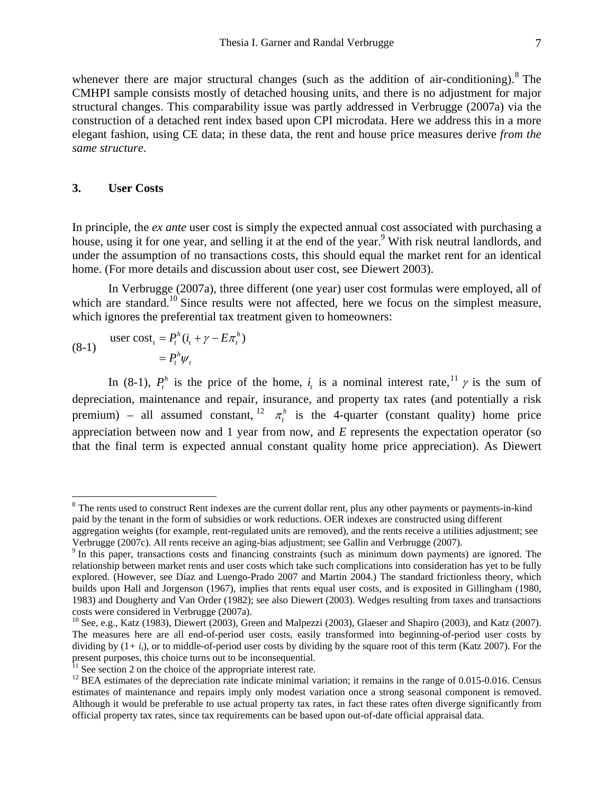whenever there are major structural changes (such as the addition of air-conditioning).<sup>8</sup> The CMHPI sample consists mostly of detached housing units, and there is no adjustment for major structural changes. This comparability issue was partly addressed in Verbrugge (2007a) via the construction of a detached rent index based upon CPI microdata. Here we address this in a more elegant fashion, using CE data; in these data, the rent and house price measures derive *from the same structure*.

#### **3. User Costs**

1

In principle, the *ex ante* user cost is simply the expected annual cost associated with purchasing a house, using it for one year, and selling it at the end of the year.<sup>9</sup> With risk neutral landlords, and under the assumption of no transactions costs, this should equal the market rent for an identical home. (For more details and discussion about user cost, see Diewert 2003).

 In Verbrugge (2007a), three different (one year) user cost formulas were employed, all of which are standard.<sup>10</sup> Since results were not affected, here we focus on the simplest measure, which ignores the preferential tax treatment given to homeowners:

(8-1) 
$$
\text{user cost}_{t} = P_t^h(i_t + \gamma - E\pi_t^h) = P_t^h \psi_t
$$

In (8-1),  $P_t^h$  is the price of the home,  $i_t$  is a nominal interest rate,  $1 \gamma$  is the sum of depreciation, maintenance and repair, insurance, and property tax rates (and potentially a risk premium) – all assumed constant,  $\frac{12}{\pi h}$  is the 4-quarter (constant quality) home price appreciation between now and 1 year from now, and *E* represents the expectation operator (so that the final term is expected annual constant quality home price appreciation). As Diewert

<sup>&</sup>lt;sup>8</sup> The rents used to construct Rent indexes are the current dollar rent, plus any other payments or payments-in-kind paid by the tenant in the form of subsidies or work reductions. OER indexes are constructed using different

aggregation weights (for example, rent-regulated units are removed), and the rents receive a utilities adjustment; see Verbrugge (2007c). All rents receive an aging-bias adjustment; see Gallin and Verbrugge (2007). 9

<sup>&</sup>lt;sup>9</sup> In this paper, transactions costs and financing constraints (such as minimum down payments) are ignored. The relationship between market rents and user costs which take such complications into consideration has yet to be fully explored. (However, see Díaz and Luengo-Prado 2007 and Martin 2004.) The standard frictionless theory, which builds upon Hall and Jorgenson (1967), implies that rents equal user costs, and is exposited in Gillingham (1980, 1983) and Dougherty and Van Order (1982); see also Diewert (2003). Wedges resulting from taxes and transactions

 $^{10}$  See, e.g., Katz (1983), Diewert (2003), Green and Malpezzi (2003), Glaeser and Shapiro (2003), and Katz (2007). The measures here are all end-of-period user costs, easily transformed into beginning-of-period user costs by dividing by  $(1 + i<sub>t</sub>)$ , or to middle-of-period user costs by dividing by the square root of this term (Katz 2007). For the present purposes, this choice turns out to be inconsequential.<br><sup>11</sup> See section 2 on the choice of the appropriate interest rate.

 $12$  BEA estimates of the depreciation rate indicate minimal variation; it remains in the range of 0.015-0.016. Census estimates of maintenance and repairs imply only modest variation once a strong seasonal component is removed. Although it would be preferable to use actual property tax rates, in fact these rates often diverge significantly from official property tax rates, since tax requirements can be based upon out-of-date official appraisal data.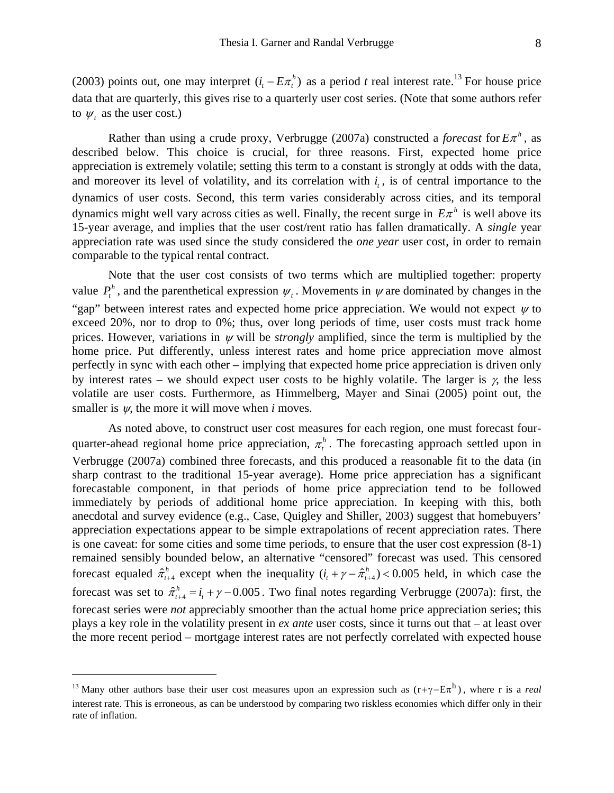(2003) points out, one may interpret  $(i_t - E\pi_t^h)$  as a period *t* real interest rate.<sup>13</sup> For house price data that are quarterly, this gives rise to a quarterly user cost series. (Note that some authors refer to  $\psi$ , as the user cost.)

Rather than using a crude proxy, Verbrugge (2007a) constructed a *forecast* for  $E\pi<sup>h</sup>$ , as described below. This choice is crucial, for three reasons. First, expected home price appreciation is extremely volatile; setting this term to a constant is strongly at odds with the data, and moreover its level of volatility, and its correlation with  $i_t$ , is of central importance to the dynamics of user costs. Second, this term varies considerably across cities, and its temporal dynamics might well vary across cities as well. Finally, the recent surge in  $E\pi<sup>h</sup>$  is well above its 15-year average, and implies that the user cost/rent ratio has fallen dramatically. A *single* year appreciation rate was used since the study considered the *one year* user cost, in order to remain comparable to the typical rental contract.

 Note that the user cost consists of two terms which are multiplied together: property value  $P_t^h$ , and the parenthetical expression  $\psi_t$ . Movements in  $\psi$  are dominated by changes in the "gap" between interest rates and expected home price appreciation. We would not expect  $\psi$  to exceed 20%, nor to drop to 0%; thus, over long periods of time, user costs must track home prices. However, variations in ψ will be *strongly* amplified, since the term is multiplied by the home price. Put differently, unless interest rates and home price appreciation move almost perfectly in sync with each other – implying that expected home price appreciation is driven only by interest rates – we should expect user costs to be highly volatile. The larger is  $\gamma$ , the less volatile are user costs. Furthermore, as Himmelberg, Mayer and Sinai (2005) point out, the smaller is  $\psi$ , the more it will move when *i* moves.

 As noted above, to construct user cost measures for each region, one must forecast fourquarter-ahead regional home price appreciation,  $\pi_t^h$ . The forecasting approach settled upon in Verbrugge (2007a) combined three forecasts, and this produced a reasonable fit to the data (in sharp contrast to the traditional 15-year average). Home price appreciation has a significant forecastable component, in that periods of home price appreciation tend to be followed immediately by periods of additional home price appreciation. In keeping with this, both anecdotal and survey evidence (e.g., Case, Quigley and Shiller, 2003) suggest that homebuyers' appreciation expectations appear to be simple extrapolations of recent appreciation rates. There is one caveat: for some cities and some time periods, to ensure that the user cost expression (8-1) remained sensibly bounded below, an alternative "censored" forecast was used. This censored forecast equaled  $\hat{\pi}_{t+4}^h$  except when the inequality  $(i_t + \gamma - \hat{\pi}_{t+4}^h) < 0.005$  held, in which case the forecast was set to  $\hat{\pi}_{t+4}^h = i_t + \gamma - 0.005$ . Two final notes regarding Verbrugge (2007a): first, the forecast series were *not* appreciably smoother than the actual home price appreciation series; this plays a key role in the volatility present in *ex ante* user costs, since it turns out that – at least over the more recent period – mortgage interest rates are not perfectly correlated with expected house

1

<sup>&</sup>lt;sup>13</sup> Many other authors base their user cost measures upon an expression such as  $(r+\gamma-E\pi^h)$ , where r is a *real* interest rate. This is erroneous, as can be understood by comparing two riskless economies which differ only in their rate of inflation.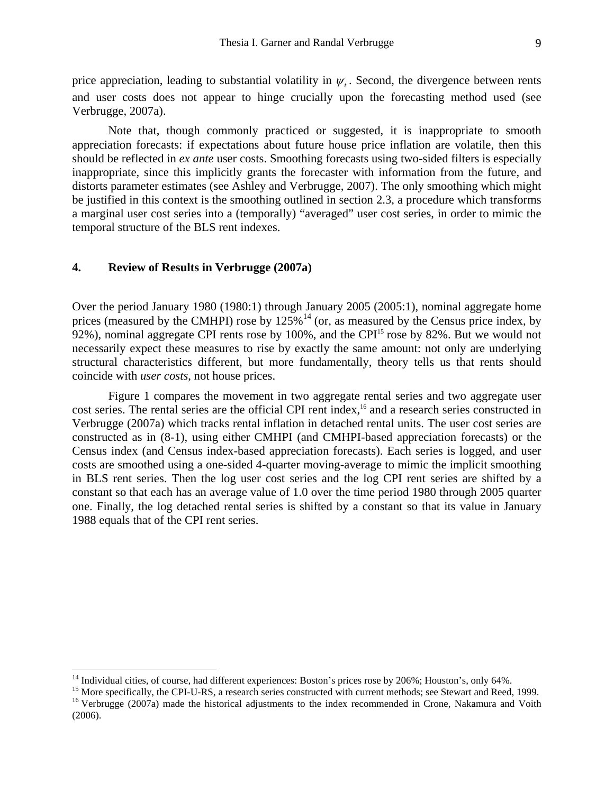price appreciation, leading to substantial volatility in  $\psi$ . Second, the divergence between rents and user costs does not appear to hinge crucially upon the forecasting method used (see Verbrugge, 2007a).

 Note that, though commonly practiced or suggested, it is inappropriate to smooth appreciation forecasts: if expectations about future house price inflation are volatile, then this should be reflected in *ex ante* user costs. Smoothing forecasts using two-sided filters is especially inappropriate, since this implicitly grants the forecaster with information from the future, and distorts parameter estimates (see Ashley and Verbrugge, 2007). The only smoothing which might be justified in this context is the smoothing outlined in section 2.3, a procedure which transforms a marginal user cost series into a (temporally) "averaged" user cost series, in order to mimic the temporal structure of the BLS rent indexes.

#### **4. Review of Results in Verbrugge (2007a)**

Over the period January 1980 (1980:1) through January 2005 (2005:1), nominal aggregate home prices (measured by the CMHPI) rose by  $125\%$ <sup>14</sup> (or, as measured by the Census price index, by 92%), nominal aggregate CPI rents rose by 100%, and the CPI<sup>15</sup> rose by 82%. But we would not necessarily expect these measures to rise by exactly the same amount: not only are underlying structural characteristics different, but more fundamentally, theory tells us that rents should coincide with *user costs*, not house prices.

 Figure 1 compares the movement in two aggregate rental series and two aggregate user cost series. The rental series are the official CPI rent index,<sup>16</sup> and a research series constructed in Verbrugge (2007a) which tracks rental inflation in detached rental units. The user cost series are constructed as in (8-1), using either CMHPI (and CMHPI-based appreciation forecasts) or the Census index (and Census index-based appreciation forecasts). Each series is logged, and user costs are smoothed using a one-sided 4-quarter moving-average to mimic the implicit smoothing in BLS rent series. Then the log user cost series and the log CPI rent series are shifted by a constant so that each has an average value of 1.0 over the time period 1980 through 2005 quarter one. Finally, the log detached rental series is shifted by a constant so that its value in January 1988 equals that of the CPI rent series.

<sup>&</sup>lt;sup>14</sup> Individual cities, of course, had different experiences: Boston's prices rose by 206%; Houston's, only 64%.

<sup>&</sup>lt;sup>15</sup> More specifically, the CPI-U-RS, a research series constructed with current methods; see Stewart and Reed, 1999.

<sup>&</sup>lt;sup>16</sup> Verbrugge (2007a) made the historical adjustments to the index recommended in Crone, Nakamura and Voith (2006).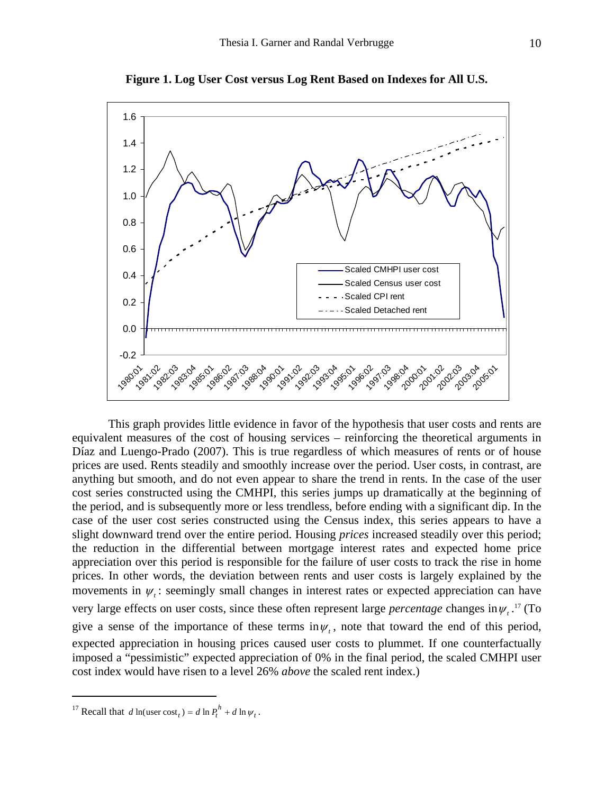

**Figure 1. Log User Cost versus Log Rent Based on Indexes for All U.S.** 

 This graph provides little evidence in favor of the hypothesis that user costs and rents are equivalent measures of the cost of housing services – reinforcing the theoretical arguments in Díaz and Luengo-Prado (2007). This is true regardless of which measures of rents or of house prices are used. Rents steadily and smoothly increase over the period. User costs, in contrast, are anything but smooth, and do not even appear to share the trend in rents. In the case of the user cost series constructed using the CMHPI, this series jumps up dramatically at the beginning of the period, and is subsequently more or less trendless, before ending with a significant dip. In the case of the user cost series constructed using the Census index, this series appears to have a slight downward trend over the entire period. Housing *prices* increased steadily over this period; the reduction in the differential between mortgage interest rates and expected home price appreciation over this period is responsible for the failure of user costs to track the rise in home prices. In other words, the deviation between rents and user costs is largely explained by the movements in  $\psi$ : seemingly small changes in interest rates or expected appreciation can have very large effects on user costs, since these often represent large *percentage* changes in  $\psi_t$ <sup>17</sup> (To give a sense of the importance of these terms in  $\psi_t$ , note that toward the end of this period, expected appreciation in housing prices caused user costs to plummet. If one counterfactually imposed a "pessimistic" expected appreciation of 0% in the final period, the scaled CMHPI user cost index would have risen to a level 26% *above* the scaled rent index.)

<u>.</u>

<sup>&</sup>lt;sup>17</sup> Recall that *d*  $ln(\text{user cost}_t) = d \ln P_t^h + d \ln \psi_t$ .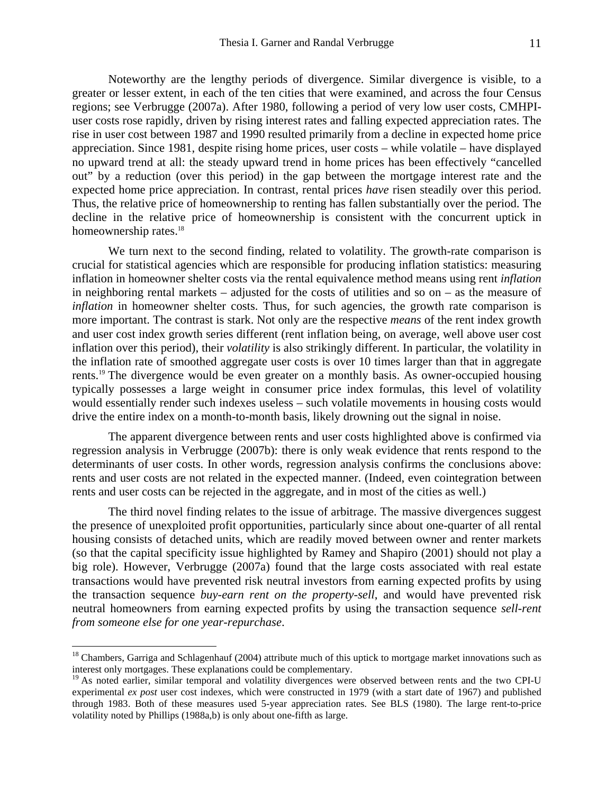Noteworthy are the lengthy periods of divergence. Similar divergence is visible, to a greater or lesser extent, in each of the ten cities that were examined, and across the four Census regions; see Verbrugge (2007a). After 1980, following a period of very low user costs, CMHPIuser costs rose rapidly, driven by rising interest rates and falling expected appreciation rates. The rise in user cost between 1987 and 1990 resulted primarily from a decline in expected home price appreciation. Since 1981, despite rising home prices, user costs – while volatile – have displayed no upward trend at all: the steady upward trend in home prices has been effectively "cancelled out" by a reduction (over this period) in the gap between the mortgage interest rate and the expected home price appreciation. In contrast, rental prices *have* risen steadily over this period. Thus, the relative price of homeownership to renting has fallen substantially over the period. The decline in the relative price of homeownership is consistent with the concurrent uptick in homeownership rates.<sup>18</sup>

We turn next to the second finding, related to volatility. The growth-rate comparison is crucial for statistical agencies which are responsible for producing inflation statistics: measuring inflation in homeowner shelter costs via the rental equivalence method means using rent *inflation* in neighboring rental markets – adjusted for the costs of utilities and so on – as the measure of *inflation* in homeowner shelter costs. Thus, for such agencies, the growth rate comparison is more important. The contrast is stark. Not only are the respective *means* of the rent index growth and user cost index growth series different (rent inflation being, on average, well above user cost inflation over this period), their *volatility* is also strikingly different. In particular, the volatility in the inflation rate of smoothed aggregate user costs is over 10 times larger than that in aggregate rents.19 The divergence would be even greater on a monthly basis. As owner-occupied housing typically possesses a large weight in consumer price index formulas, this level of volatility would essentially render such indexes useless – such volatile movements in housing costs would drive the entire index on a month-to-month basis, likely drowning out the signal in noise.

 The apparent divergence between rents and user costs highlighted above is confirmed via regression analysis in Verbrugge (2007b): there is only weak evidence that rents respond to the determinants of user costs. In other words, regression analysis confirms the conclusions above: rents and user costs are not related in the expected manner. (Indeed, even cointegration between rents and user costs can be rejected in the aggregate, and in most of the cities as well.)

The third novel finding relates to the issue of arbitrage. The massive divergences suggest the presence of unexploited profit opportunities, particularly since about one-quarter of all rental housing consists of detached units, which are readily moved between owner and renter markets (so that the capital specificity issue highlighted by Ramey and Shapiro (2001) should not play a big role). However, Verbrugge (2007a) found that the large costs associated with real estate transactions would have prevented risk neutral investors from earning expected profits by using the transaction sequence *buy-earn rent on the property-sell*, and would have prevented risk neutral homeowners from earning expected profits by using the transaction sequence *sell-rent from someone else for one year-repurchase*.

 $\overline{a}$ 

 $18$  Chambers, Garriga and Schlagenhauf (2004) attribute much of this uptick to mortgage market innovations such as interest only mortgages. These explanations could be complementary.

<sup>&</sup>lt;sup>19</sup> As noted earlier, similar temporal and volatility divergences were observed between rents and the two CPI-U experimental *ex post* user cost indexes, which were constructed in 1979 (with a start date of 1967) and published through 1983. Both of these measures used 5-year appreciation rates. See BLS (1980). The large rent-to-price volatility noted by Phillips (1988a,b) is only about one-fifth as large.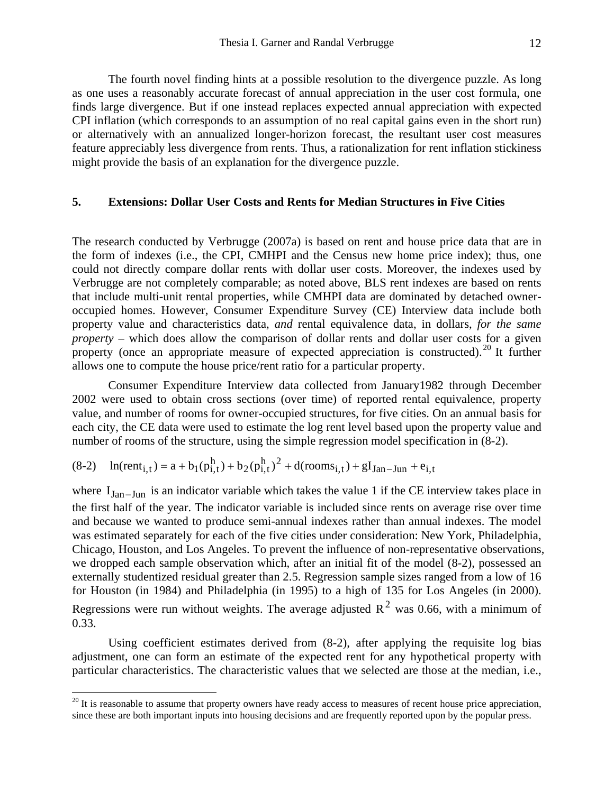The fourth novel finding hints at a possible resolution to the divergence puzzle. As long as one uses a reasonably accurate forecast of annual appreciation in the user cost formula, one finds large divergence. But if one instead replaces expected annual appreciation with expected CPI inflation (which corresponds to an assumption of no real capital gains even in the short run) or alternatively with an annualized longer-horizon forecast, the resultant user cost measures feature appreciably less divergence from rents. Thus, a rationalization for rent inflation stickiness might provide the basis of an explanation for the divergence puzzle.

#### **5. Extensions: Dollar User Costs and Rents for Median Structures in Five Cities**

The research conducted by Verbrugge (2007a) is based on rent and house price data that are in the form of indexes (i.e., the CPI, CMHPI and the Census new home price index); thus, one could not directly compare dollar rents with dollar user costs. Moreover, the indexes used by Verbrugge are not completely comparable; as noted above, BLS rent indexes are based on rents that include multi-unit rental properties, while CMHPI data are dominated by detached owneroccupied homes. However, Consumer Expenditure Survey (CE) Interview data include both property value and characteristics data, *and* rental equivalence data, in dollars, *for the same property* – which does allow the comparison of dollar rents and dollar user costs for a given property (once an appropriate measure of expected appreciation is constructed).<sup>20</sup> It further allows one to compute the house price/rent ratio for a particular property.

Consumer Expenditure Interview data collected from January1982 through December 2002 were used to obtain cross sections (over time) of reported rental equivalence, property value, and number of rooms for owner-occupied structures, for five cities. On an annual basis for each city, the CE data were used to estimate the log rent level based upon the property value and number of rooms of the structure, using the simple regression model specification in (8-2).

(8-2) 
$$
\ln(\text{rent}_{i,t}) = a + b_1(p_{i,t}^h) + b_2(p_{i,t}^h)^2 + d(\text{rooms}_{i,t}) + gI_{Jan-Jun} + e_{i,t}
$$

 $\overline{a}$ 

 $\mathbf{1}$ 

where  $I_{Jan-Jun}$  is an indicator variable which takes the value 1 if the CE interview takes place in the first half of the year. The indicator variable is included since rents on average rise over time and because we wanted to produce semi-annual indexes rather than annual indexes. The model was estimated separately for each of the five cities under consideration: New York, Philadelphia, Chicago, Houston, and Los Angeles. To prevent the influence of non-representative observations, we dropped each sample observation which, after an initial fit of the model (8-2), possessed an externally studentized residual greater than 2.5. Regression sample sizes ranged from a low of 16 for Houston (in 1984) and Philadelphia (in 1995) to a high of 135 for Los Angeles (in 2000). Regressions were run without weights. The average adjusted  $R^2$  was 0.66, with a minimum of 0.33.

 Using coefficient estimates derived from (8-2), after applying the requisite log bias adjustment, one can form an estimate of the expected rent for any hypothetical property with particular characteristics. The characteristic values that we selected are those at the median, i.e.,

 $20$  It is reasonable to assume that property owners have ready access to measures of recent house price appreciation, since these are both important inputs into housing decisions and are frequently reported upon by the popular press.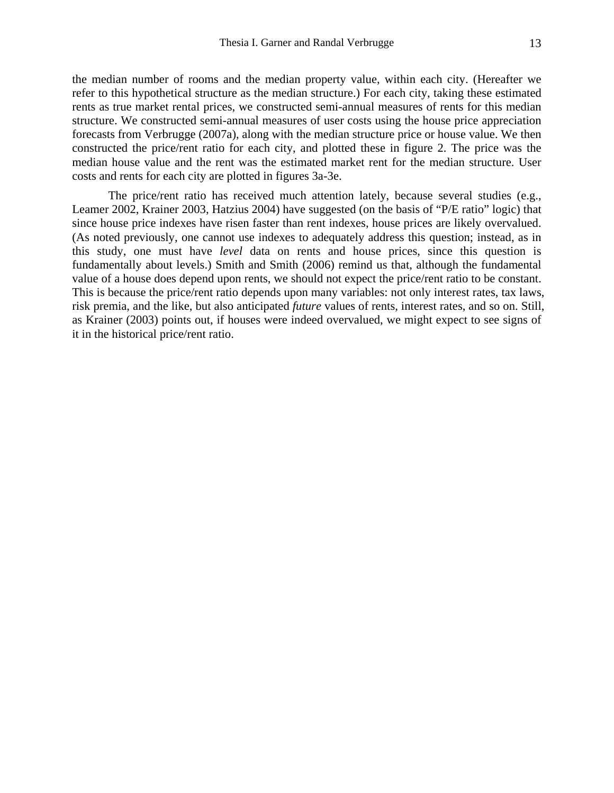the median number of rooms and the median property value, within each city. (Hereafter we refer to this hypothetical structure as the median structure.) For each city, taking these estimated rents as true market rental prices, we constructed semi-annual measures of rents for this median structure. We constructed semi-annual measures of user costs using the house price appreciation forecasts from Verbrugge (2007a), along with the median structure price or house value. We then constructed the price/rent ratio for each city, and plotted these in figure 2. The price was the median house value and the rent was the estimated market rent for the median structure. User costs and rents for each city are plotted in figures 3a-3e.

 The price/rent ratio has received much attention lately, because several studies (e.g., Leamer 2002, Krainer 2003, Hatzius 2004) have suggested (on the basis of "P/E ratio" logic) that since house price indexes have risen faster than rent indexes, house prices are likely overvalued. (As noted previously, one cannot use indexes to adequately address this question; instead, as in this study, one must have *level* data on rents and house prices, since this question is fundamentally about levels.) Smith and Smith (2006) remind us that, although the fundamental value of a house does depend upon rents, we should not expect the price/rent ratio to be constant. This is because the price/rent ratio depends upon many variables: not only interest rates, tax laws, risk premia, and the like, but also anticipated *future* values of rents, interest rates, and so on. Still, as Krainer (2003) points out, if houses were indeed overvalued, we might expect to see signs of it in the historical price/rent ratio.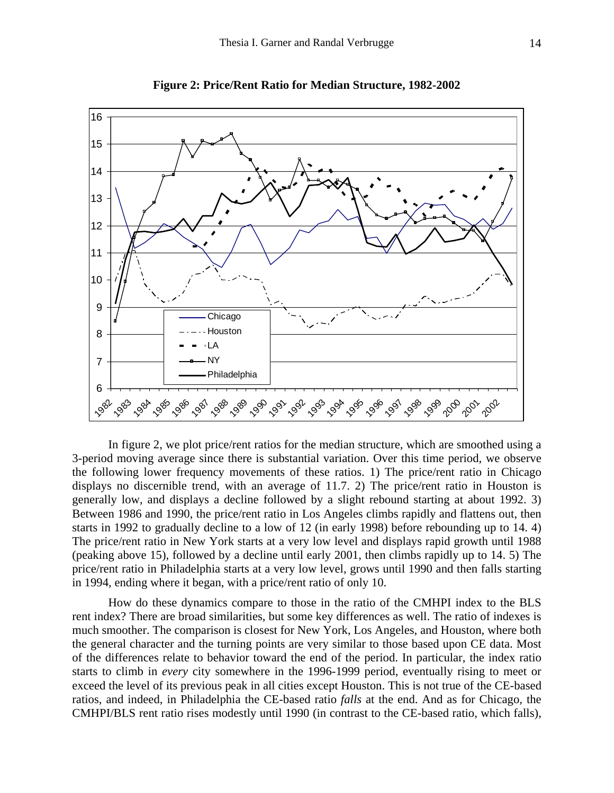

**Figure 2: Price/Rent Ratio for Median Structure, 1982-2002** 

 In figure 2, we plot price/rent ratios for the median structure, which are smoothed using a 3-period moving average since there is substantial variation. Over this time period, we observe the following lower frequency movements of these ratios. 1) The price/rent ratio in Chicago displays no discernible trend, with an average of 11.7. 2) The price/rent ratio in Houston is generally low, and displays a decline followed by a slight rebound starting at about 1992. 3) Between 1986 and 1990, the price/rent ratio in Los Angeles climbs rapidly and flattens out, then starts in 1992 to gradually decline to a low of 12 (in early 1998) before rebounding up to 14. 4) The price/rent ratio in New York starts at a very low level and displays rapid growth until 1988 (peaking above 15), followed by a decline until early 2001, then climbs rapidly up to 14. 5) The price/rent ratio in Philadelphia starts at a very low level, grows until 1990 and then falls starting in 1994, ending where it began, with a price/rent ratio of only 10.

 How do these dynamics compare to those in the ratio of the CMHPI index to the BLS rent index? There are broad similarities, but some key differences as well. The ratio of indexes is much smoother. The comparison is closest for New York, Los Angeles, and Houston, where both the general character and the turning points are very similar to those based upon CE data. Most of the differences relate to behavior toward the end of the period. In particular, the index ratio starts to climb in *every* city somewhere in the 1996-1999 period, eventually rising to meet or exceed the level of its previous peak in all cities except Houston. This is not true of the CE-based ratios, and indeed, in Philadelphia the CE-based ratio *falls* at the end. And as for Chicago, the CMHPI/BLS rent ratio rises modestly until 1990 (in contrast to the CE-based ratio, which falls),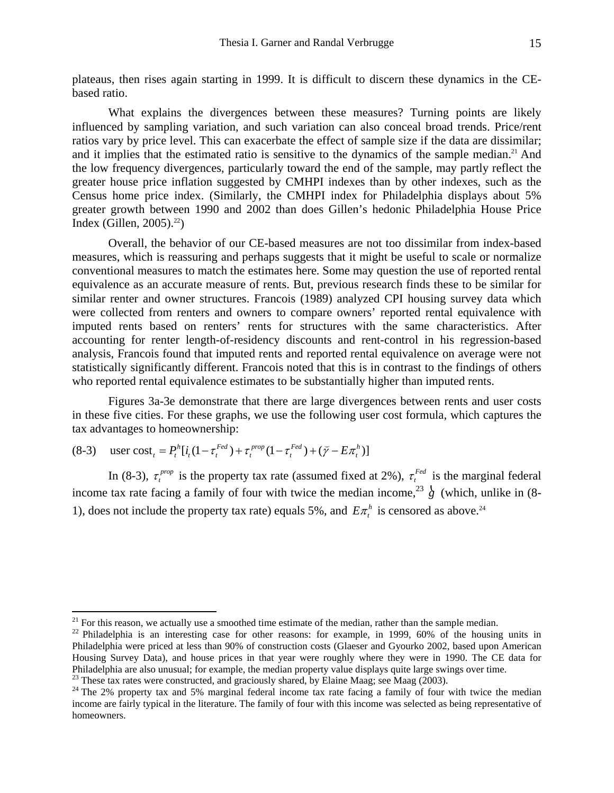plateaus, then rises again starting in 1999. It is difficult to discern these dynamics in the CEbased ratio.

 What explains the divergences between these measures? Turning points are likely influenced by sampling variation, and such variation can also conceal broad trends. Price/rent ratios vary by price level. This can exacerbate the effect of sample size if the data are dissimilar; and it implies that the estimated ratio is sensitive to the dynamics of the sample median.<sup>21</sup> And the low frequency divergences, particularly toward the end of the sample, may partly reflect the greater house price inflation suggested by CMHPI indexes than by other indexes, such as the Census home price index. (Similarly, the CMHPI index for Philadelphia displays about 5% greater growth between 1990 and 2002 than does Gillen's hedonic Philadelphia House Price Index (Gillen,  $2005$ ).<sup>22</sup>)

 Overall, the behavior of our CE-based measures are not too dissimilar from index-based measures, which is reassuring and perhaps suggests that it might be useful to scale or normalize conventional measures to match the estimates here. Some may question the use of reported rental equivalence as an accurate measure of rents. But, previous research finds these to be similar for similar renter and owner structures. Francois (1989) analyzed CPI housing survey data which were collected from renters and owners to compare owners' reported rental equivalence with imputed rents based on renters' rents for structures with the same characteristics. After accounting for renter length-of-residency discounts and rent-control in his regression-based analysis, Francois found that imputed rents and reported rental equivalence on average were not statistically significantly different. Francois noted that this is in contrast to the findings of others who reported rental equivalence estimates to be substantially higher than imputed rents.

 Figures 3a-3e demonstrate that there are large divergences between rents and user costs in these five cities. For these graphs, we use the following user cost formula, which captures the tax advantages to homeownership:

(8-3) user cost<sub>t</sub> = 
$$
P_t^h[i_t(1 - \tau_t^{Fed}) + \tau_t^{prop}(1 - \tau_t^{Fed}) + (\breve{\gamma} - E\tau_t^h)]
$$

 $\overline{a}$ 

In (8-3),  $\tau_t^{prop}$  is the property tax rate (assumed fixed at 2%),  $\tau_t^{fed}$  is the marginal federal income tax rate facing a family of four with twice the median income,<sup>23</sup>  $\frac{1}{8}$  (which, unlike in (8-1), does not include the property tax rate) equals 5%, and  $E\pi_t^h$  is censored as above.<sup>24</sup>

 $21$  For this reason, we actually use a smoothed time estimate of the median, rather than the sample median.

<sup>&</sup>lt;sup>22</sup> Philadelphia is an interesting case for other reasons: for example, in 1999, 60% of the housing units in Philadelphia were priced at less than 90% of construction costs (Glaeser and Gyourko 2002, based upon American Housing Survey Data), and house prices in that year were roughly where they were in 1990. The CE data for Philadelphia are also unusual; for example, the median property value displays quite large swings over time.<br><sup>23</sup> These tax rates were constructed, and graciously shared, by Elaine Maag; see Maag (2003).

<sup>&</sup>lt;sup>24</sup> The 2% property tax and 5% marginal federal income tax rate facing a family of four with twice the median income are fairly typical in the literature. The family of four with this income was selected as being representative of homeowners.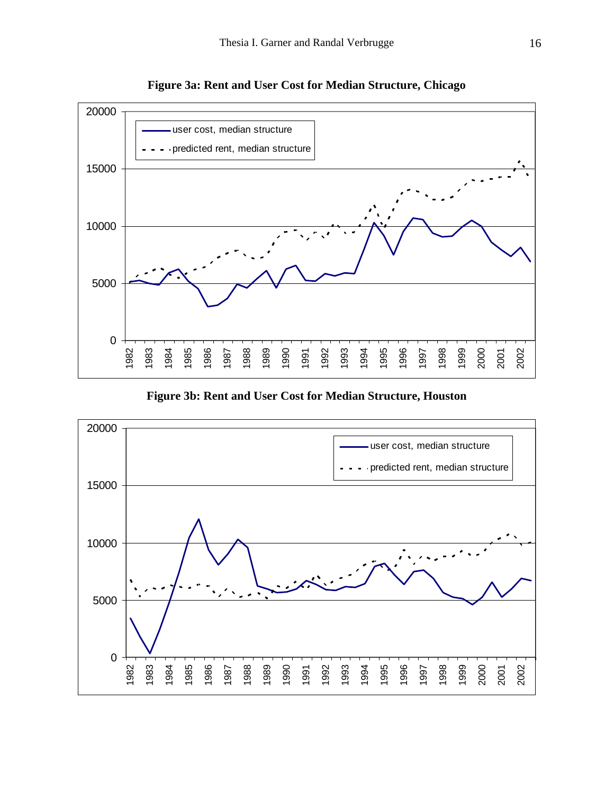

**Figure 3a: Rent and User Cost for Median Structure, Chicago** 

**Figure 3b: Rent and User Cost for Median Structure, Houston** 

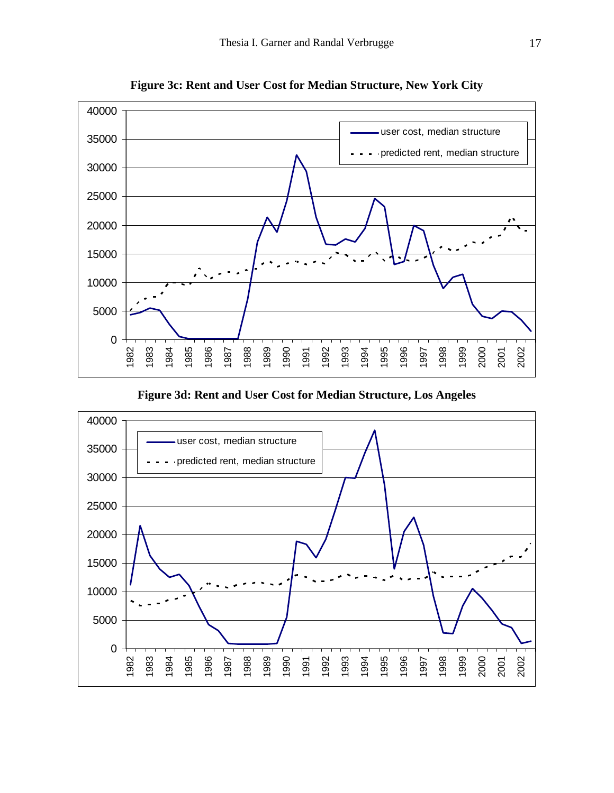

**Figure 3c: Rent and User Cost for Median Structure, New York City** 

**Figure 3d: Rent and User Cost for Median Structure, Los Angeles** 

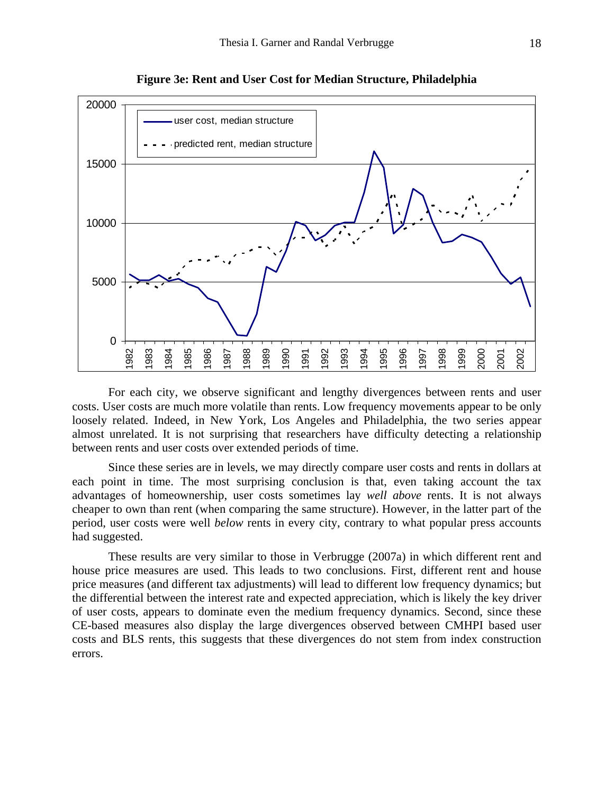

**Figure 3e: Rent and User Cost for Median Structure, Philadelphia** 

 For each city, we observe significant and lengthy divergences between rents and user costs. User costs are much more volatile than rents. Low frequency movements appear to be only loosely related. Indeed, in New York, Los Angeles and Philadelphia, the two series appear almost unrelated. It is not surprising that researchers have difficulty detecting a relationship between rents and user costs over extended periods of time.

 Since these series are in levels, we may directly compare user costs and rents in dollars at each point in time. The most surprising conclusion is that, even taking account the tax advantages of homeownership, user costs sometimes lay *well above* rents. It is not always cheaper to own than rent (when comparing the same structure). However, in the latter part of the period, user costs were well *below* rents in every city, contrary to what popular press accounts had suggested.

 These results are very similar to those in Verbrugge (2007a) in which different rent and house price measures are used. This leads to two conclusions. First, different rent and house price measures (and different tax adjustments) will lead to different low frequency dynamics; but the differential between the interest rate and expected appreciation, which is likely the key driver of user costs, appears to dominate even the medium frequency dynamics. Second, since these CE-based measures also display the large divergences observed between CMHPI based user costs and BLS rents, this suggests that these divergences do not stem from index construction errors.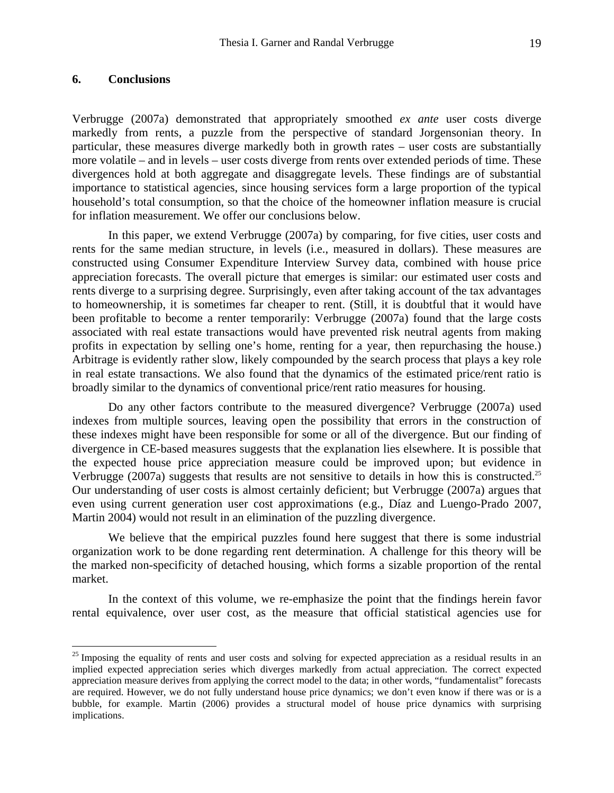#### **6. Conclusions**

 $\overline{a}$ 

Verbrugge (2007a) demonstrated that appropriately smoothed *ex ante* user costs diverge markedly from rents, a puzzle from the perspective of standard Jorgensonian theory. In particular, these measures diverge markedly both in growth rates – user costs are substantially more volatile – and in levels – user costs diverge from rents over extended periods of time. These divergences hold at both aggregate and disaggregate levels. These findings are of substantial importance to statistical agencies, since housing services form a large proportion of the typical household's total consumption, so that the choice of the homeowner inflation measure is crucial for inflation measurement. We offer our conclusions below.

 In this paper, we extend Verbrugge (2007a) by comparing, for five cities, user costs and rents for the same median structure, in levels (i.e., measured in dollars). These measures are constructed using Consumer Expenditure Interview Survey data, combined with house price appreciation forecasts. The overall picture that emerges is similar: our estimated user costs and rents diverge to a surprising degree. Surprisingly, even after taking account of the tax advantages to homeownership, it is sometimes far cheaper to rent. (Still, it is doubtful that it would have been profitable to become a renter temporarily: Verbrugge (2007a) found that the large costs associated with real estate transactions would have prevented risk neutral agents from making profits in expectation by selling one's home, renting for a year, then repurchasing the house.) Arbitrage is evidently rather slow, likely compounded by the search process that plays a key role in real estate transactions. We also found that the dynamics of the estimated price/rent ratio is broadly similar to the dynamics of conventional price/rent ratio measures for housing.

 Do any other factors contribute to the measured divergence? Verbrugge (2007a) used indexes from multiple sources, leaving open the possibility that errors in the construction of these indexes might have been responsible for some or all of the divergence. But our finding of divergence in CE-based measures suggests that the explanation lies elsewhere. It is possible that the expected house price appreciation measure could be improved upon; but evidence in Verbrugge (2007a) suggests that results are not sensitive to details in how this is constructed.<sup>25</sup> Our understanding of user costs is almost certainly deficient; but Verbrugge (2007a) argues that even using current generation user cost approximations (e.g., Díaz and Luengo-Prado 2007, Martin 2004) would not result in an elimination of the puzzling divergence.

We believe that the empirical puzzles found here suggest that there is some industrial organization work to be done regarding rent determination. A challenge for this theory will be the marked non-specificity of detached housing, which forms a sizable proportion of the rental market.

 In the context of this volume, we re-emphasize the point that the findings herein favor rental equivalence, over user cost, as the measure that official statistical agencies use for

<sup>&</sup>lt;sup>25</sup> Imposing the equality of rents and user costs and solving for expected appreciation as a residual results in an implied expected appreciation series which diverges markedly from actual appreciation. The correct expected appreciation measure derives from applying the correct model to the data; in other words, "fundamentalist" forecasts are required. However, we do not fully understand house price dynamics; we don't even know if there was or is a bubble, for example. Martin (2006) provides a structural model of house price dynamics with surprising implications.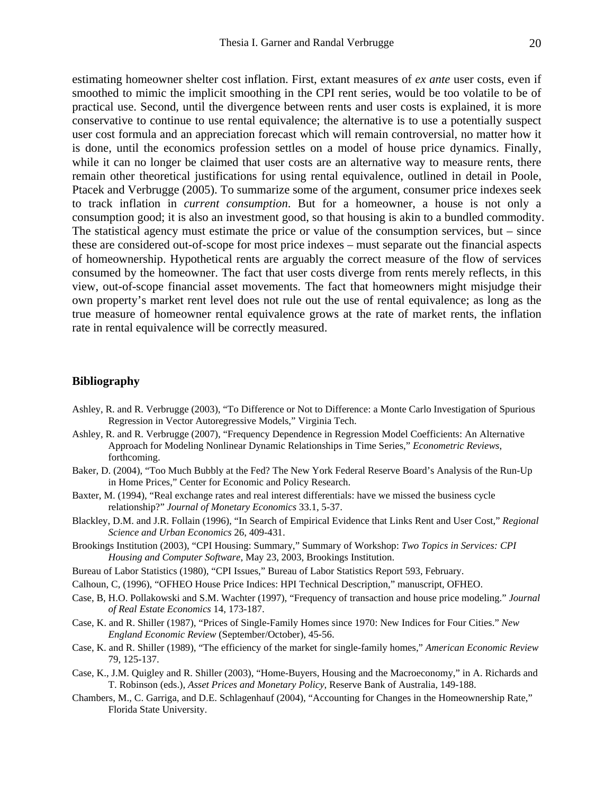estimating homeowner shelter cost inflation. First, extant measures of *ex ante* user costs, even if smoothed to mimic the implicit smoothing in the CPI rent series, would be too volatile to be of practical use. Second, until the divergence between rents and user costs is explained, it is more conservative to continue to use rental equivalence; the alternative is to use a potentially suspect user cost formula and an appreciation forecast which will remain controversial, no matter how it is done, until the economics profession settles on a model of house price dynamics. Finally, while it can no longer be claimed that user costs are an alternative way to measure rents, there remain other theoretical justifications for using rental equivalence, outlined in detail in Poole, Ptacek and Verbrugge (2005). To summarize some of the argument, consumer price indexes seek to track inflation in *current consumption*. But for a homeowner, a house is not only a consumption good; it is also an investment good, so that housing is akin to a bundled commodity. The statistical agency must estimate the price or value of the consumption services, but – since these are considered out-of-scope for most price indexes – must separate out the financial aspects of homeownership. Hypothetical rents are arguably the correct measure of the flow of services consumed by the homeowner. The fact that user costs diverge from rents merely reflects, in this view, out-of-scope financial asset movements. The fact that homeowners might misjudge their own property's market rent level does not rule out the use of rental equivalence; as long as the true measure of homeowner rental equivalence grows at the rate of market rents, the inflation rate in rental equivalence will be correctly measured.

#### **Bibliography**

- Ashley, R. and R. Verbrugge (2003), "To Difference or Not to Difference: a Monte Carlo Investigation of Spurious Regression in Vector Autoregressive Models," Virginia Tech.
- Ashley, R. and R. Verbrugge (2007), "Frequency Dependence in Regression Model Coefficients: An Alternative Approach for Modeling Nonlinear Dynamic Relationships in Time Series," *Econometric Reviews*, forthcoming.
- Baker, D. (2004), "Too Much Bubbly at the Fed? The New York Federal Reserve Board's Analysis of the Run-Up in Home Prices," Center for Economic and Policy Research.
- Baxter, M. (1994), "Real exchange rates and real interest differentials: have we missed the business cycle relationship?" *Journal of Monetary Economics* 33.1, 5-37.
- Blackley, D.M. and J.R. Follain (1996), "In Search of Empirical Evidence that Links Rent and User Cost," *Regional Science and Urban Economics* 26, 409-431.
- Brookings Institution (2003), "CPI Housing: Summary," Summary of Workshop: *Two Topics in Services: CPI Housing and Computer Software*, May 23, 2003, Brookings Institution.
- Bureau of Labor Statistics (1980), "CPI Issues," Bureau of Labor Statistics Report 593, February.
- Calhoun, C, (1996), "OFHEO House Price Indices: HPI Technical Description," manuscript, OFHEO.
- Case, B, H.O. Pollakowski and S.M. Wachter (1997), "Frequency of transaction and house price modeling." *Journal of Real Estate Economics* 14, 173-187.
- Case, K. and R. Shiller (1987), "Prices of Single-Family Homes since 1970: New Indices for Four Cities." *New England Economic Review* (September/October), 45-56.
- Case, K. and R. Shiller (1989), "The efficiency of the market for single-family homes," *American Economic Review* 79, 125-137.
- Case, K., J.M. Quigley and R. Shiller (2003), "Home-Buyers, Housing and the Macroeconomy," in A. Richards and T. Robinson (eds.), *Asset Prices and Monetary Policy*, Reserve Bank of Australia, 149-188.
- Chambers, M., C. Garriga, and D.E. Schlagenhauf (2004), "Accounting for Changes in the Homeownership Rate," Florida State University.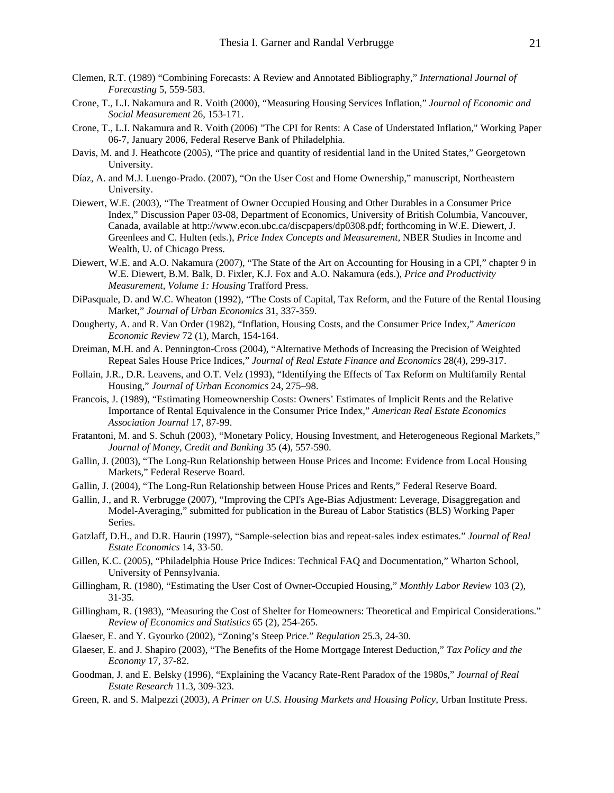- Clemen, R.T. (1989) "Combining Forecasts: A Review and Annotated Bibliography," *International Journal of Forecasting* 5, 559-583.
- Crone, T., L.I. Nakamura and R. Voith (2000), "Measuring Housing Services Inflation," *Journal of Economic and Social Measurement* 26, 153-171.
- Crone, T., L.I. Nakamura and R. Voith (2006) "The CPI for Rents: A Case of Understated Inflation," Working Paper 06-7, January 2006, Federal Reserve Bank of Philadelphia.
- Davis, M. and J. Heathcote (2005), "The price and quantity of residential land in the United States," Georgetown University.
- Díaz, A. and M.J. Luengo-Prado. (2007), "On the User Cost and Home Ownership," manuscript, Northeastern University.
- Diewert, W.E. (2003), "The Treatment of Owner Occupied Housing and Other Durables in a Consumer Price Index," Discussion Paper 03-08, Department of Economics, University of British Columbia, Vancouver, Canada, available at http://www.econ.ubc.ca/discpapers/dp0308.pdf; forthcoming in W.E. Diewert, J. Greenlees and C. Hulten (eds.), *Price Index Concepts and Measurement,* NBER Studies in Income and Wealth, U. of Chicago Press.
- Diewert, W.E. and A.O. Nakamura (2007), "The State of the Art on Accounting for Housing in a CPI," chapter 9 in W.E. Diewert, B.M. Balk, D. Fixler, K.J. Fox and A.O. Nakamura (eds.), *Price and Productivity Measurement, Volume 1: Housing* Trafford Press.
- DiPasquale, D. and W.C. Wheaton (1992), "The Costs of Capital, Tax Reform, and the Future of the Rental Housing Market," *Journal of Urban Economics* 31, 337-359.
- Dougherty, A. and R. Van Order (1982), "Inflation, Housing Costs, and the Consumer Price Index," *American Economic Review* 72 (1), March, 154-164.
- Dreiman, M.H. and A. Pennington-Cross (2004), "Alternative Methods of Increasing the Precision of Weighted Repeat Sales House Price Indices," *Journal of Real Estate Finance and Economics* 28(4), 299-317.
- Follain, J.R., D.R. Leavens, and O.T. Velz (1993), "Identifying the Effects of Tax Reform on Multifamily Rental Housing," *Journal of Urban Economics* 24, 275–98.
- Francois, J. (1989), "Estimating Homeownership Costs: Owners' Estimates of Implicit Rents and the Relative Importance of Rental Equivalence in the Consumer Price Index," *American Real Estate Economics Association Journal* 17, 87-99.
- Fratantoni, M. and S. Schuh (2003), "Monetary Policy, Housing Investment, and Heterogeneous Regional Markets," *Journal of Money, Credit and Banking* 35 (4), 557-590.
- Gallin, J. (2003), "The Long-Run Relationship between House Prices and Income: Evidence from Local Housing Markets," Federal Reserve Board.
- Gallin, J. (2004), "The Long-Run Relationship between House Prices and Rents," Federal Reserve Board.
- Gallin, J., and R. Verbrugge (2007), "Improving the CPI's Age-Bias Adjustment: Leverage, Disaggregation and Model-Averaging," submitted for publication in the Bureau of Labor Statistics (BLS) Working Paper Series.
- Gatzlaff, D.H., and D.R. Haurin (1997), "Sample-selection bias and repeat-sales index estimates." *Journal of Real Estate Economics* 14, 33-50.
- Gillen, K.C. (2005), "Philadelphia House Price Indices: Technical FAQ and Documentation," Wharton School, University of Pennsylvania.
- Gillingham, R. (1980), "Estimating the User Cost of Owner-Occupied Housing," *Monthly Labor Review* 103 (2), 31-35.
- Gillingham, R. (1983), "Measuring the Cost of Shelter for Homeowners: Theoretical and Empirical Considerations." *Review of Economics and Statistics* 65 (2), 254-265.
- Glaeser, E. and Y. Gyourko (2002), "Zoning's Steep Price." *Regulation* 25.3, 24-30.
- Glaeser, E. and J. Shapiro (2003), "The Benefits of the Home Mortgage Interest Deduction," *Tax Policy and the Economy* 17, 37-82.
- Goodman, J. and E. Belsky (1996), "Explaining the Vacancy Rate-Rent Paradox of the 1980s," *Journal of Real Estate Research* 11.3, 309-323.
- Green, R. and S. Malpezzi (2003), *A Primer on U.S. Housing Markets and Housing Policy*, Urban Institute Press.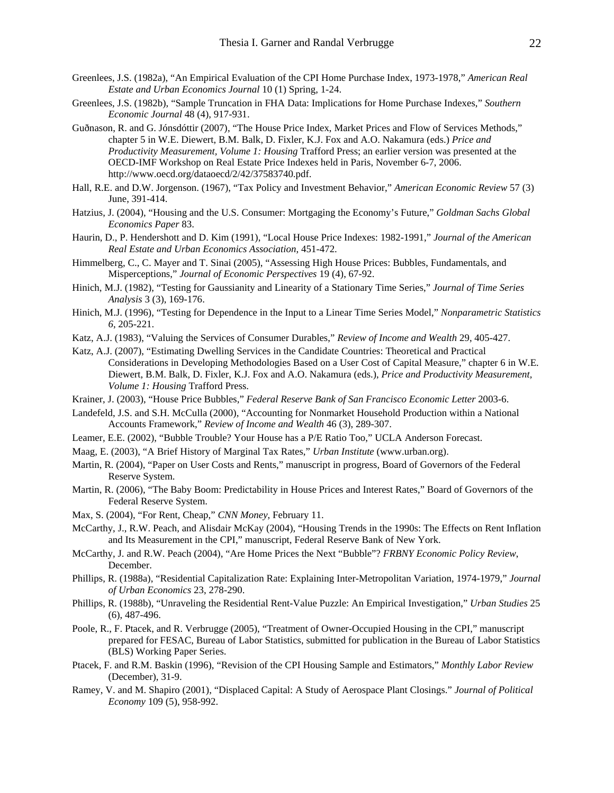- Greenlees, J.S. (1982a), "An Empirical Evaluation of the CPI Home Purchase Index, 1973-1978," *American Real Estate and Urban Economics Journal* 10 (1) Spring, 1-24.
- Greenlees, J.S. (1982b), "Sample Truncation in FHA Data: Implications for Home Purchase Indexes," *Southern Economic Journal* 48 (4), 917-931.
- Guðnason, R. and G. Jónsdóttir (2007), "The House Price Index, Market Prices and Flow of Services Methods," chapter 5 in W.E. Diewert, B.M. Balk, D. Fixler, K.J. Fox and A.O. Nakamura (eds.) *Price and Productivity Measurement, Volume 1: Housing* Trafford Press; an earlier version was presented at the OECD-IMF Workshop on Real Estate Price Indexes held in Paris, November 6-7, 2006. http://www.oecd.org/dataoecd/2/42/37583740.pdf.
- Hall, R.E. and D.W. Jorgenson. (1967), "Tax Policy and Investment Behavior," *American Economic Review* 57 (3) June, 391-414.
- Hatzius, J. (2004), "Housing and the U.S. Consumer: Mortgaging the Economy's Future," *Goldman Sachs Global Economics Paper* 83.
- Haurin, D., P. Hendershott and D. Kim (1991), "Local House Price Indexes: 1982-1991," *Journal of the American Real Estate and Urban Economics Association*, 451-472.
- Himmelberg, C., C. Mayer and T. Sinai (2005), "Assessing High House Prices: Bubbles, Fundamentals, and Misperceptions," *Journal of Economic Perspectives* 19 (4), 67-92.
- Hinich, M.J. (1982), "Testing for Gaussianity and Linearity of a Stationary Time Series," *Journal of Time Series Analysis* 3 (3), 169-176.
- Hinich, M.J. (1996), "Testing for Dependence in the Input to a Linear Time Series Model," *Nonparametric Statistics 6*, 205-221.
- Katz, A.J. (1983), "Valuing the Services of Consumer Durables," *Review of Income and Wealth* 29, 405-427.
- Katz, A.J. (2007), "Estimating Dwelling Services in the Candidate Countries: Theoretical and Practical Considerations in Developing Methodologies Based on a User Cost of Capital Measure," chapter 6 in W.E. Diewert, B.M. Balk, D. Fixler, K.J. Fox and A.O. Nakamura (eds.), *Price and Productivity Measurement, Volume 1: Housing* Trafford Press.
- Krainer, J. (2003), "House Price Bubbles," *Federal Reserve Bank of San Francisco Economic Letter* 2003-6.
- Landefeld, J.S. and S.H. McCulla (2000), "Accounting for Nonmarket Household Production within a National Accounts Framework," *Review of Income and Wealth* 46 (3), 289-307.
- Leamer, E.E. (2002), "Bubble Trouble? Your House has a P/E Ratio Too," UCLA Anderson Forecast.
- Maag, E. (2003), "A Brief History of Marginal Tax Rates," *Urban Institute* (www.urban.org).
- Martin, R. (2004), "Paper on User Costs and Rents," manuscript in progress, Board of Governors of the Federal Reserve System.
- Martin, R. (2006), "The Baby Boom: Predictability in House Prices and Interest Rates," Board of Governors of the Federal Reserve System.
- Max, S. (2004), "For Rent, Cheap," *CNN Money*, February 11.
- McCarthy, J., R.W. Peach, and Alisdair McKay (2004), "Housing Trends in the 1990s: The Effects on Rent Inflation and Its Measurement in the CPI," manuscript, Federal Reserve Bank of New York.
- McCarthy, J. and R.W. Peach (2004), "Are Home Prices the Next "Bubble"? *FRBNY Economic Policy Review*, December.
- Phillips, R. (1988a), "Residential Capitalization Rate: Explaining Inter-Metropolitan Variation, 1974-1979," *Journal of Urban Economics* 23, 278-290.
- Phillips, R. (1988b), "Unraveling the Residential Rent-Value Puzzle: An Empirical Investigation," *Urban Studies* 25 (6), 487-496.
- Poole, R., F. Ptacek, and R. Verbrugge (2005), "Treatment of Owner-Occupied Housing in the CPI," manuscript prepared for FESAC, Bureau of Labor Statistics, submitted for publication in the Bureau of Labor Statistics (BLS) Working Paper Series.
- Ptacek, F. and R.M. Baskin (1996), "Revision of the CPI Housing Sample and Estimators," *Monthly Labor Review* (December), 31-9.
- Ramey, V. and M. Shapiro (2001), "Displaced Capital: A Study of Aerospace Plant Closings." *Journal of Political Economy* 109 (5), 958-992.